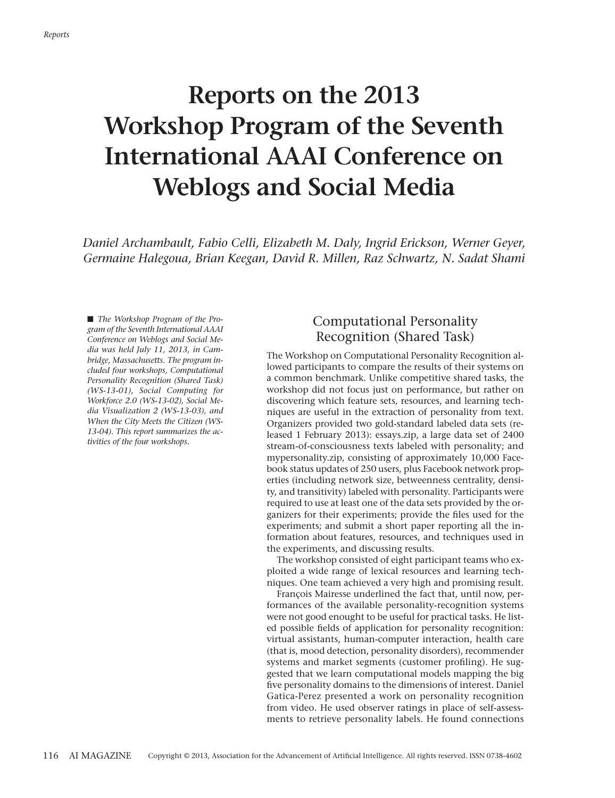# **Reports on the 2013 Workshop Program of the Seventh International AAAI Conference on Weblogs and Social Media**

*Daniel Archambault, Fabio Celli, Elizabeth M. Daly, Ingrid Erickson, Werner Geyer, Germaine Halegoua, Brian Keegan, David R. Millen, Raz Schwartz, N. Sadat Shami*

■ *The Workshop Program of the Program of the Seventh International AAAI Conference on Weblogs and Social Media was held July 11, 2013, in Cambridge, Massachusetts. The program included four workshops, Computational Personality Recognition (Shared Task) (WS-13-01), Social Computing for Workforce 2.0 (WS-13-02), Social Media Visualization 2 (WS-13-03), and When the City Meets the Citizen (WS-13-04). This report summarizes the activities of the four workshops.*

#### Computational Personality Recognition (Shared Task)

The Workshop on Computational Personality Recognition allowed participants to compare the results of their systems on a common benchmark. Unlike competitive shared tasks, the workshop did not focus just on performance, but rather on discovering which feature sets, resources, and learning techniques are useful in the extraction of personality from text. Organizers provided two gold-standard labeled data sets (released 1 February 2013): essays.zip, a large data set of 2400 stream-of-consciousness texts labeled with personality; and mypersonality.zip, consisting of approximately 10,000 Facebook status updates of 250 users, plus Facebook network properties (including network size, betweenness centrality, density, and transitivity) labeled with personality. Participants were required to use at least one of the data sets provided by the organizers for their experiments; provide the files used for the experiments; and submit a short paper reporting all the information about features, resources, and techniques used in the experiments, and discussing results.

The workshop consisted of eight participant teams who exploited a wide range of lexical resources and learning techniques. One team achieved a very high and promising result.

François Mairesse underlined the fact that, until now, performances of the available personality-recognition systems were not good enought to be useful for practical tasks. He listed possible fields of application for personality recognition: virtual assistants, human-computer interaction, health care (that is, mood detection, personality disorders), recommender systems and market segments (customer profiling). He suggested that we learn computational models mapping the big five personality domains to the dimensions of interest. Daniel Gatica-Perez presented a work on personality recognition from video. He used observer ratings in place of self-assessments to retrieve personality labels. He found connections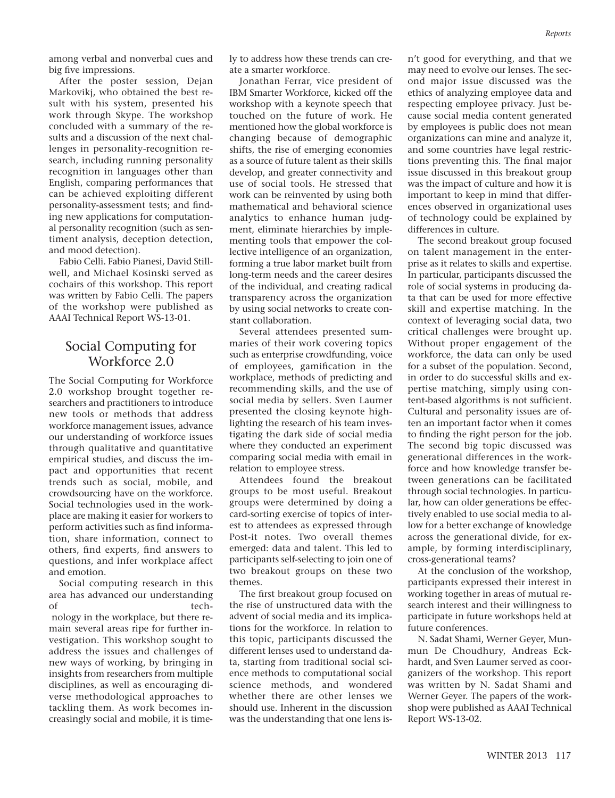among verbal and nonverbal cues and big five impressions.

After the poster session, Dejan Markovikj, who obtained the best result with his system, presented his work through Skype. The workshop concluded with a summary of the results and a discussion of the next challenges in personality-recognition research, including running personality recognition in languages other than English, comparing performances that can be achieved exploiting different personality-assessment tests; and finding new applications for computational personality recognition (such as sentiment analysis, deception detection, and mood detection).

Fabio Celli. Fabio Pianesi, David Stillwell, and Michael Kosinski served as cochairs of this workshop. This report was written by Fabio Celli. The papers of the workshop were published as AAAI Technical Report WS-13-01.

#### Social Computing for Workforce 2.0

The Social Computing for Workforce 2.0 workshop brought together researchers and practitioners to introduce new tools or methods that address workforce management issues, advance our understanding of workforce issues through qualitative and quantitative empirical studies, and discuss the impact and opportunities that recent trends such as social, mobile, and crowdsourcing have on the workforce. Social technologies used in the workplace are making it easier for workers to perform activities such as find information, share information, connect to others, find experts, find answers to questions, and infer workplace affect and emotion.

Social computing research in this area has advanced our understanding of tech-

nology in the workplace, but there remain several areas ripe for further investigation. This workshop sought to address the issues and challenges of new ways of working, by bringing in insights from researchers from multiple disciplines, as well as encouraging diverse methodological approaches to tackling them. As work becomes increasingly social and mobile, it is timely to address how these trends can create a smarter workforce.

Jonathan Ferrar, vice president of IBM Smarter Workforce, kicked off the workshop with a keynote speech that touched on the future of work. He mentioned how the global workforce is changing because of demographic shifts, the rise of emerging economies as a source of future talent as their skills develop, and greater connectivity and use of social tools. He stressed that work can be reinvented by using both mathematical and behavioral science analytics to enhance human judgment, eliminate hierarchies by implementing tools that empower the collective intelligence of an organization, forming a true labor market built from long-term needs and the career desires of the individual, and creating radical transparency across the organization by using social networks to create constant collaboration.

Several attendees presented summaries of their work covering topics such as enterprise crowdfunding, voice of employees, gamification in the workplace, methods of predicting and recommending skills, and the use of social media by sellers. Sven Laumer presented the closing keynote highlighting the research of his team investigating the dark side of social media where they conducted an experiment comparing social media with email in relation to employee stress.

Attendees found the breakout groups to be most useful. Breakout groups were determined by doing a card-sorting exercise of topics of interest to attendees as expressed through Post-it notes. Two overall themes emerged: data and talent. This led to participants self-selecting to join one of two breakout groups on these two themes.

The first breakout group focused on the rise of unstructured data with the advent of social media and its implications for the workforce. In relation to this topic, participants discussed the different lenses used to understand data, starting from traditional social science methods to computational social science methods, and wondered whether there are other lenses we should use. Inherent in the discussion was the understanding that one lens isn't good for everything, and that we may need to evolve our lenses. The second major issue discussed was the ethics of analyzing employee data and respecting employee privacy. Just because social media content generated by employees is public does not mean organizations can mine and analyze it, and some countries have legal restrictions preventing this. The final major issue discussed in this breakout group was the impact of culture and how it is important to keep in mind that differences observed in organizational uses of technology could be explained by differences in culture.

The second breakout group focused on talent management in the enterprise as it relates to skills and expertise. In particular, participants discussed the role of social systems in producing data that can be used for more effective skill and expertise matching. In the context of leveraging social data, two critical challenges were brought up. Without proper engagement of the workforce, the data can only be used for a subset of the population. Second, in order to do successful skills and expertise matching, simply using content-based algorithms is not sufficient. Cultural and personality issues are often an important factor when it comes to finding the right person for the job. The second big topic discussed was generational differences in the workforce and how knowledge transfer between generations can be facilitated through social technologies. In particular, how can older generations be effectively enabled to use social media to allow for a better exchange of knowledge across the generational divide, for example, by forming interdisciplinary, cross-generational teams?

At the conclusion of the workshop, participants expressed their interest in working together in areas of mutual research interest and their willingness to participate in future workshops held at future conferences.

N. Sadat Shami, Werner Geyer, Munmun De Choudhury, Andreas Eckhardt, and Sven Laumer served as coorganizers of the workshop. This report was written by N. Sadat Shami and Werner Geyer. The papers of the workshop were published as AAAI Technical Report WS-13-02.